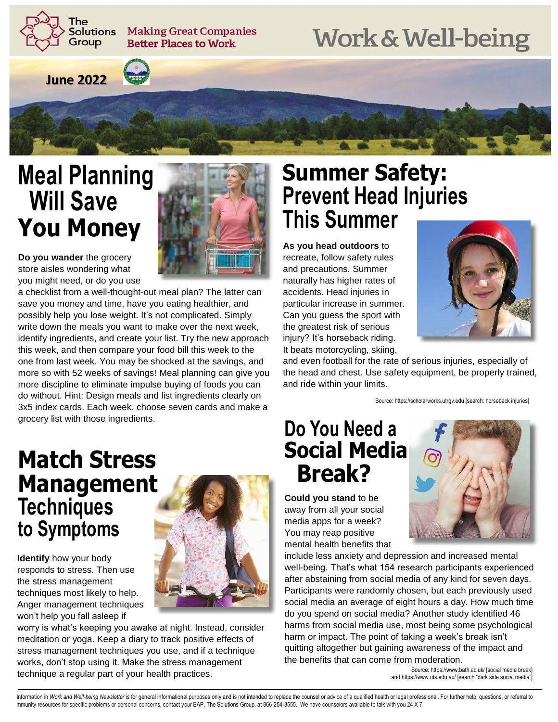The **Solutions** Group

**Making Great Companies Better Places to Work** 

# **Work & Well-being**

**June 2022** 



## **Meal Planning Will Save You Money**



**Do you wander** the grocery store aisles wondering what you might need, or do you use

**Identify** how your body responds to stress. Then use the stress management techniques most likely to help. Anger management techniques

a checklist from a well-thought-out meal plan? The latter can save you money and time, have you eating healthier, and possibly help you lose weight. It's not complicated. Simply write down the meals you want to make over the next week, identify ingredients, and create your list. Try the new approach this week, and then compare your food bill this week to the one from last week. You may be shocked at the savings, and more so with 52 weeks of savings! Meal planning can give you more discipline to eliminate impulse buying of foods you can do without. Hint: Design meals and list ingredients clearly on 3x5 index cards. Each week, choose seven cards and make a grocery list with those ingredients.

#### **Summer Safety: Prevent Head Injuries This Summer**

**As you head outdoors** to recreate, follow safety rules and precautions. Summer naturally has higher rates of accidents. Head injuries in particular increase in summer. Can you guess the sport with the greatest risk of serious injury? It's horseback riding. It beats motorcycling, skiing,



and even football for the rate of serious injuries, especially of the head and chest. Use safety equipment, be properly trained, and ride within your limits.

Source: https://scholarworks.utrgv.edu [search: horseback injuries]

### **Match Stress Management Techniques to Symptoms**



won't help you fall asleep if worry is what's keeping you awake at night. Instead, consider meditation or yoga. Keep a diary to track positive effects of stress management techniques you use, and if a technique works, don't stop using it. Make the stress management technique a regular part of your health practices.

#### **Do You Need a Social Media Break?**

**Could you stand** to be away from all your social media apps for a week? You may reap positive mental health benefits that



Source: https://www.bath.ac.uk/ [social media break] and https://www.uts.edu.au/ [search "dark side social media"]

mmunity resources for specific problems or personal concerns, contact your EAP, The Solutions Group, at 866-254-3555. We have counselors available to talk with you 24 X 7. Information in Work and Well-being Newsletter is for general informational purposes only and is not intended to replace the counsel or advice of a qualified health or legal professional. For further help, questions, or ref